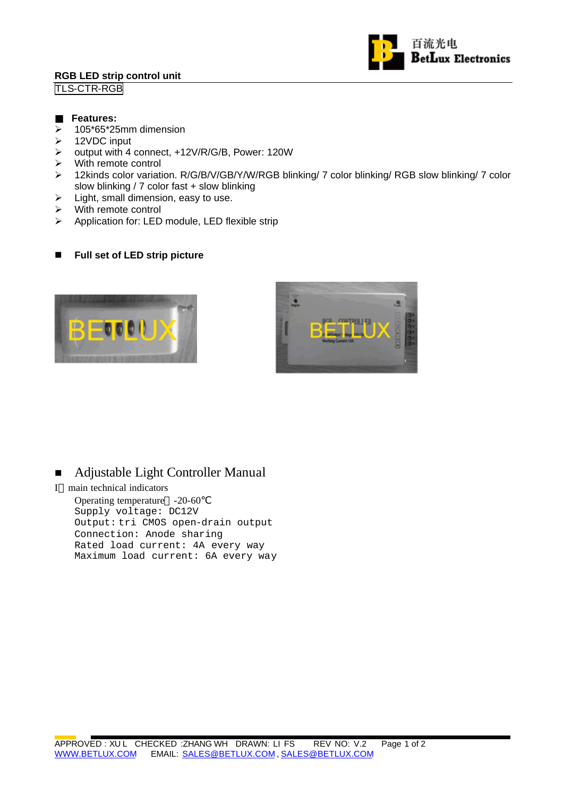# **RGB LED strip control unit**

TLS-CTR-RGB



### **Features:**

- $\geq$  105\*65\*25mm dimension
- $\triangleright$  12VDC input
- ÿ output with 4 connect, +12V/R/G/B, Power: 120W
- $\triangleright$  With remote control
- ÿ 12kinds color variation. R/G/B/V/GB/Y/W/RGB blinking/ 7 color blinking/ RGB slow blinking/ 7 color slow blinking / 7 color fast + slow blinking
- $\triangleright$  Light, small dimension, easy to use.
- $\triangleright$  With remote control
- $\triangleright$  Application for: LED module, LED flexible strip

# ■ Full set of LED strip picture





# ■ Adjustable Light Controller Manual

I main technical indicators

Operating temperature -20-60 Supply voltage: DC12V Output: tri CMOS open-drain output Connection: Anode sharing Rated load current: 4A every way Maximum load current: 6A every way